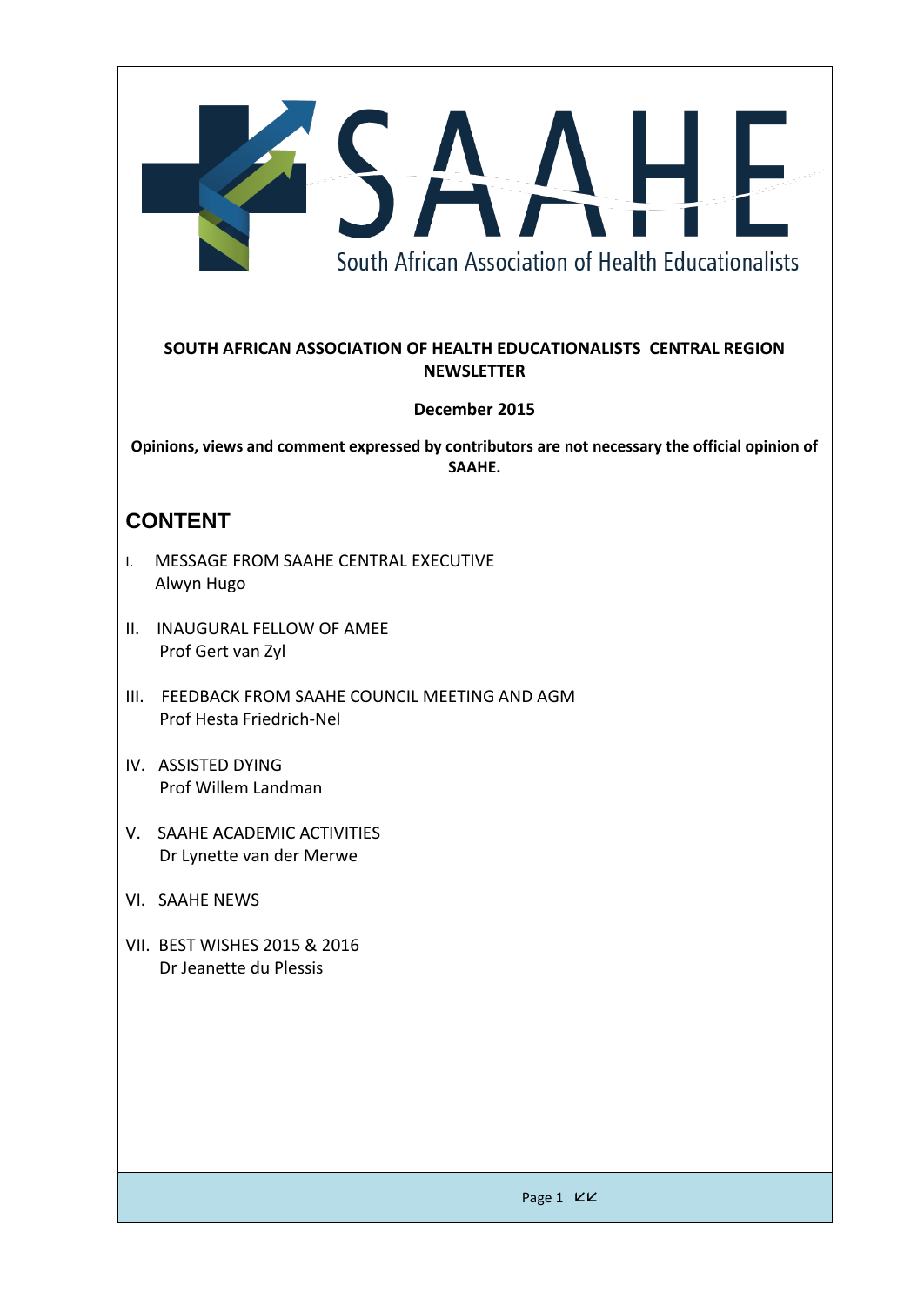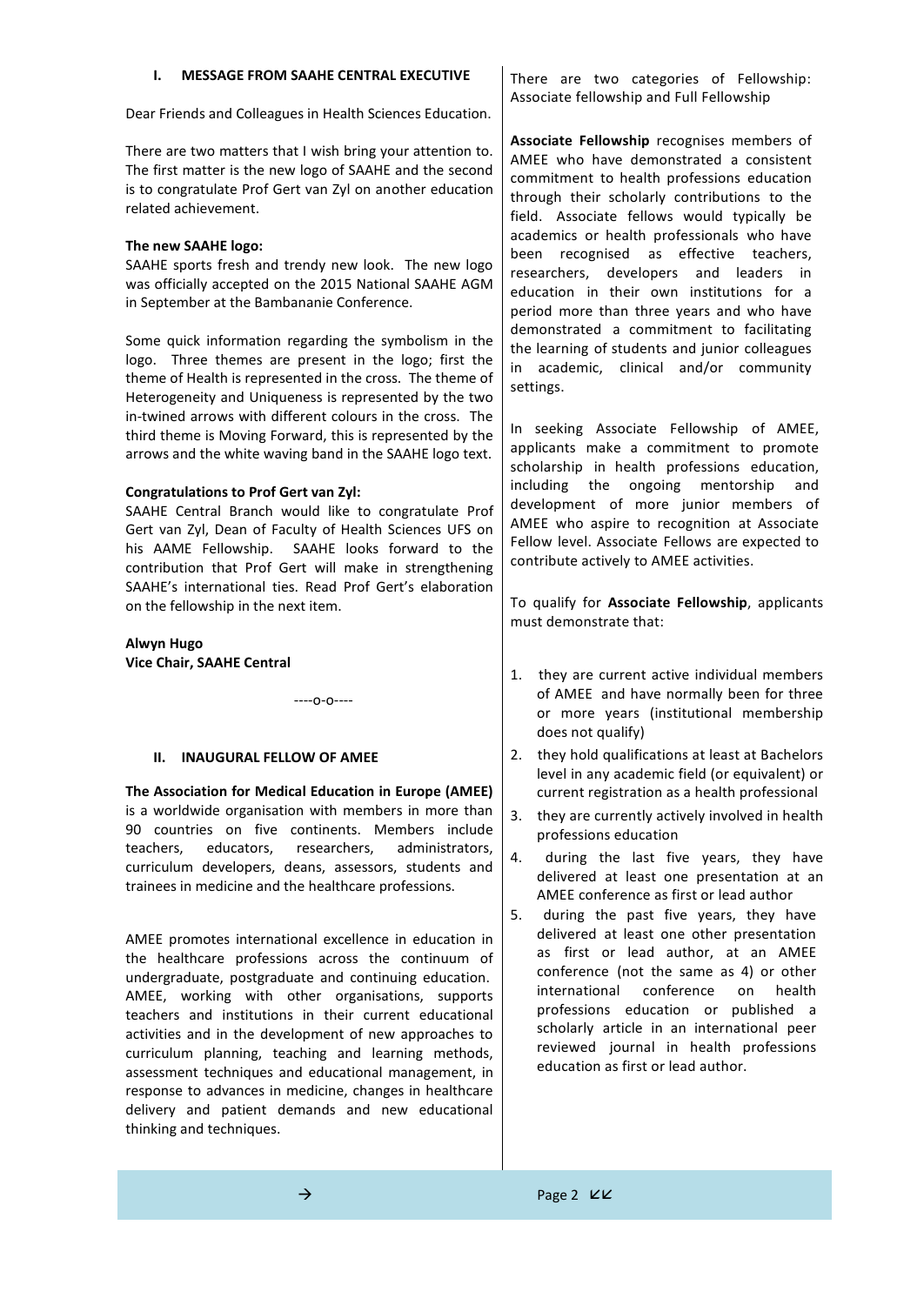| <b>MESSAGE FROM SAAHE CENTRAL EXECUTIVE</b><br>Ι.                                                                                                                                                                                                                                                                                        | There are two categories of Fellowship:<br>Associate fellowship and Full Fellowship                                                                                                                                                    |
|------------------------------------------------------------------------------------------------------------------------------------------------------------------------------------------------------------------------------------------------------------------------------------------------------------------------------------------|----------------------------------------------------------------------------------------------------------------------------------------------------------------------------------------------------------------------------------------|
| Dear Friends and Colleagues in Health Sciences Education.                                                                                                                                                                                                                                                                                |                                                                                                                                                                                                                                        |
| There are two matters that I wish bring your attention to.<br>The first matter is the new logo of SAAHE and the second<br>is to congratulate Prof Gert van Zyl on another education<br>related achievement.                                                                                                                              | Associate Fellowship recognises members of<br>AMEE who have demonstrated a consistent<br>commitment to health professions education<br>through their scholarly contributions to the<br>field. Associate fellows would typically be     |
| The new SAAHE logo:<br>SAAHE sports fresh and trendy new look. The new logo<br>was officially accepted on the 2015 National SAAHE AGM<br>in September at the Bambananie Conference.                                                                                                                                                      | academics or health professionals who have<br>been recognised as effective teachers,<br>researchers, developers and leaders in<br>education in their own institutions for a<br>period more than three years and who have               |
| Some quick information regarding the symbolism in the<br>logo. Three themes are present in the logo; first the<br>theme of Health is represented in the cross. The theme of<br>Heterogeneity and Uniqueness is represented by the two                                                                                                    | demonstrated a commitment to facilitating<br>the learning of students and junior colleagues<br>academic, clinical and/or community<br>in<br>settings.                                                                                  |
| in-twined arrows with different colours in the cross. The<br>third theme is Moving Forward, this is represented by the<br>arrows and the white waving band in the SAAHE logo text.                                                                                                                                                       | In seeking Associate Fellowship of AMEE,<br>applicants make a commitment to promote<br>scholarship in health professions education,                                                                                                    |
| <b>Congratulations to Prof Gert van Zyl:</b><br>SAAHE Central Branch would like to congratulate Prof<br>Gert van Zyl, Dean of Faculty of Health Sciences UFS on<br>his AAME Fellowship. SAAHE looks forward to the<br>contribution that Prof Gert will make in strengthening<br>SAAHE's international ties. Read Prof Gert's elaboration | including<br>ongoing<br>mentorship<br>the<br>and<br>development of more junior members of<br>AMEE who aspire to recognition at Associate<br>Fellow level. Associate Fellows are expected to<br>contribute actively to AMEE activities. |
| on the fellowship in the next item.                                                                                                                                                                                                                                                                                                      | To qualify for Associate Fellowship, applicants<br>must demonstrate that:                                                                                                                                                              |
| Alwyn Hugo                                                                                                                                                                                                                                                                                                                               |                                                                                                                                                                                                                                        |
| Vice Chair, SAAHE Central<br>$---0-0---$                                                                                                                                                                                                                                                                                                 | they are current active individual members<br>1.<br>of AMEE and have normally been for three<br>or more years (institutional membership                                                                                                |

## **II. INAUGURAL FELLOW OF AMEE**

**The Association for Medical Education in Europe (AMEE)** is a worldwide organisation with members in more than 90 countries on five continents. Members include teachers, educators, researchers, administrators, curriculum developers, deans, assessors, students and trainees in medicine and the healthcare professions.

AMEE promotes international excellence in education in the healthcare professions across the continuum of undergraduate, postgraduate and continuing education. AMEE, working with other organisations, supports teachers and institutions in their current educational activities and in the development of new approaches to curriculum planning, teaching and learning methods, assessment techniques and educational management, in response to advances in medicine, changes in healthcare delivery and patient demands and new educational thinking and techniques.

does not qualify) 2. they hold qualifications at least at Bachelors level in any academic field (or equivalent) or current registration as a health professional

- 3. they are currently actively involved in health professions education
- 4. during the last five years, they have delivered at least one presentation at an AMEE conference as first or lead author
- 5. during the past five years, they have delivered at least one other presentation as first or lead author, at an AMEE conference (not the same as 4) or other international conference on health professions education or published a scholarly article in an international peer reviewed journal in health professions education as first or lead author.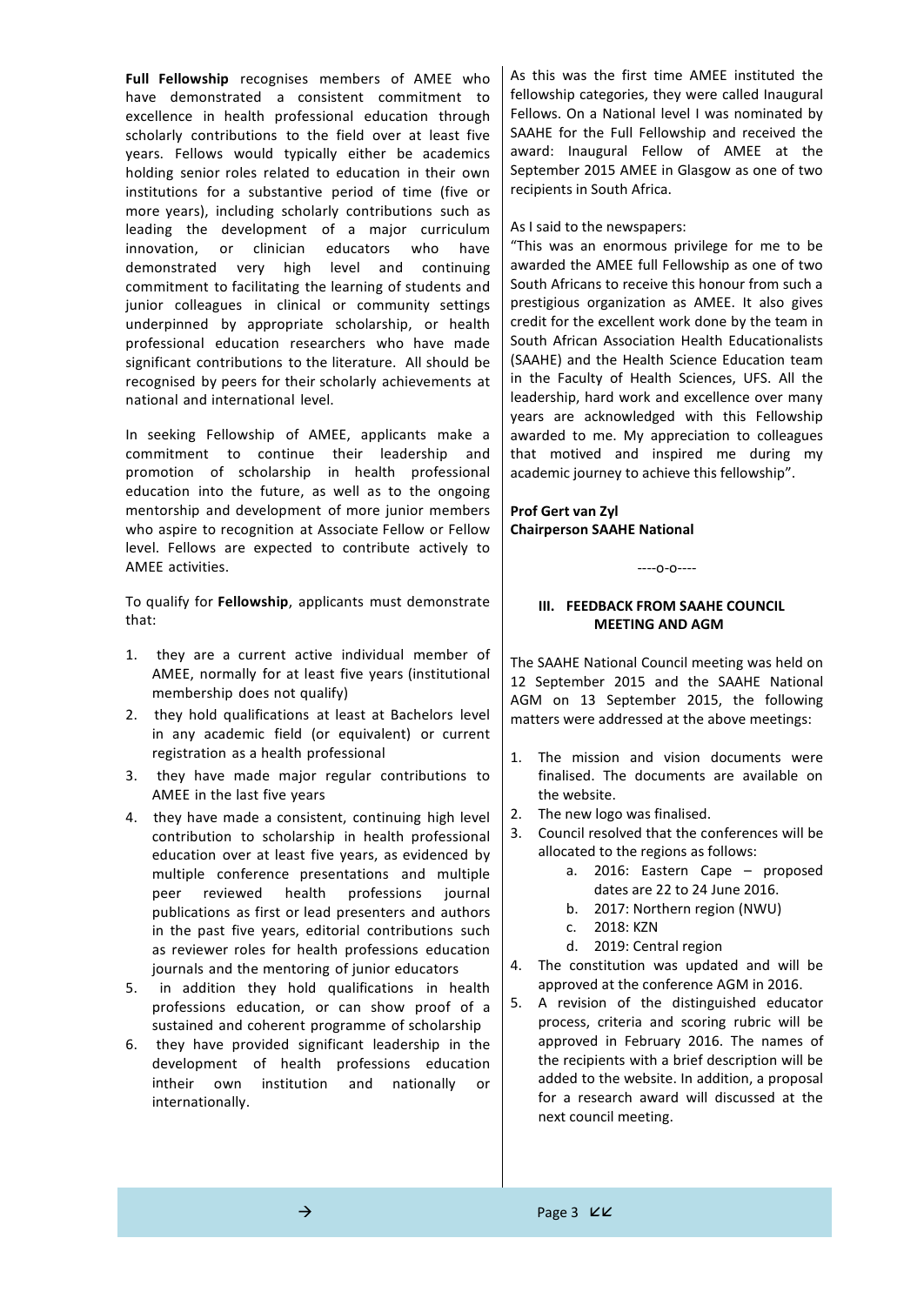**Full Fellowship** recognises members of AMEE who have demonstrated a consistent commitment to excellence in health professional education through scholarly contributions to the field over at least five years. Fellows would typically either be academics holding senior roles related to education in their own institutions for a substantive period of time (five or more years), including scholarly contributions such as leading the development of a major curriculum innovation, or clinician educators who have demonstrated very high level and continuing commitment to facilitating the learning of students and junior colleagues in clinical or community settings underpinned by appropriate scholarship, or health professional education researchers who have made significant contributions to the literature. All should be recognised by peers for their scholarly achievements at national and international level.

In seeking Fellowship of AMEE, applicants make a commitment to continue their leadership and promotion of scholarship in health professional education into the future, as well as to the ongoing mentorship and development of more junior members who aspire to recognition at Associate Fellow or Fellow level. Fellows are expected to contribute actively to AMEE activities.

To qualify for **Fellowship**, applicants must demonstrate that:

- 1. they are a current active individual member of AMEE, normally for at least five years (institutional membership does not qualify)
- 2. they hold qualifications at least at Bachelors level in any academic field (or equivalent) or current registration as a health professional
- 3. they have made major regular contributions to AMEE in the last five years
- 4. they have made a consistent, continuing high level contribution to scholarship in health professional education over at least five years, as evidenced by multiple conference presentations and multiple peer reviewed health professions journal publications as first or lead presenters and authors in the past five years, editorial contributions such as reviewer roles for health professions education journals and the mentoring of junior educators
- 5. in addition they hold qualifications in health professions education, or can show proof of a sustained and coherent programme of scholarship
- 6. they have provided significant leadership in the development of health professions education intheir own institution and nationally or internationally.

As this was the first time AMEE instituted the fellowship categories, they were called Inaugural Fellows. On a National level I was nominated by SAAHE for the Full Fellowship and received the award: Inaugural Fellow of AMEE at the September 2015 AMEE in Glasgow as one of two recipients in South Africa.

As I said to the newspapers:

"This was an enormous privilege for me to be awarded the AMEE full Fellowship as one of two South Africans to receive this honour from such a prestigious organization as AMEE. It also gives credit for the excellent work done by the team in South African Association Health Educationalists (SAAHE) and the Health Science Education team in the Faculty of Health Sciences, UFS. All the leadership, hard work and excellence over many years are acknowledged with this Fellowship awarded to me. My appreciation to colleagues that motived and inspired me during my academic journey to achieve this fellowship".

**Prof Gert van Zyl Chairperson SAAHE National**

----o-o----

## **III. FEEDBACK FROM SAAHE COUNCIL MEETING AND AGM**

The SAAHE National Council meeting was held on 12 September 2015 and the SAAHE National AGM on 13 September 2015, the following matters were addressed at the above meetings:

- 1. The mission and vision documents were finalised. The documents are available on the website.
- 2. The new logo was finalised.
- 3. Council resolved that the conferences will be allocated to the regions as follows:
	- a. 2016: Eastern Cape proposed dates are 22 to 24 June 2016.
	- b. 2017: Northern region (NWU)
	- c. 2018: KZN
	- d. 2019: Central region
- 4. The constitution was updated and will be approved at the conference AGM in 2016.
- 5. A revision of the distinguished educator process, criteria and scoring rubric will be approved in February 2016. The names of the recipients with a brief description will be added to the website. In addition, a proposal for a research award will discussed at the next council meeting.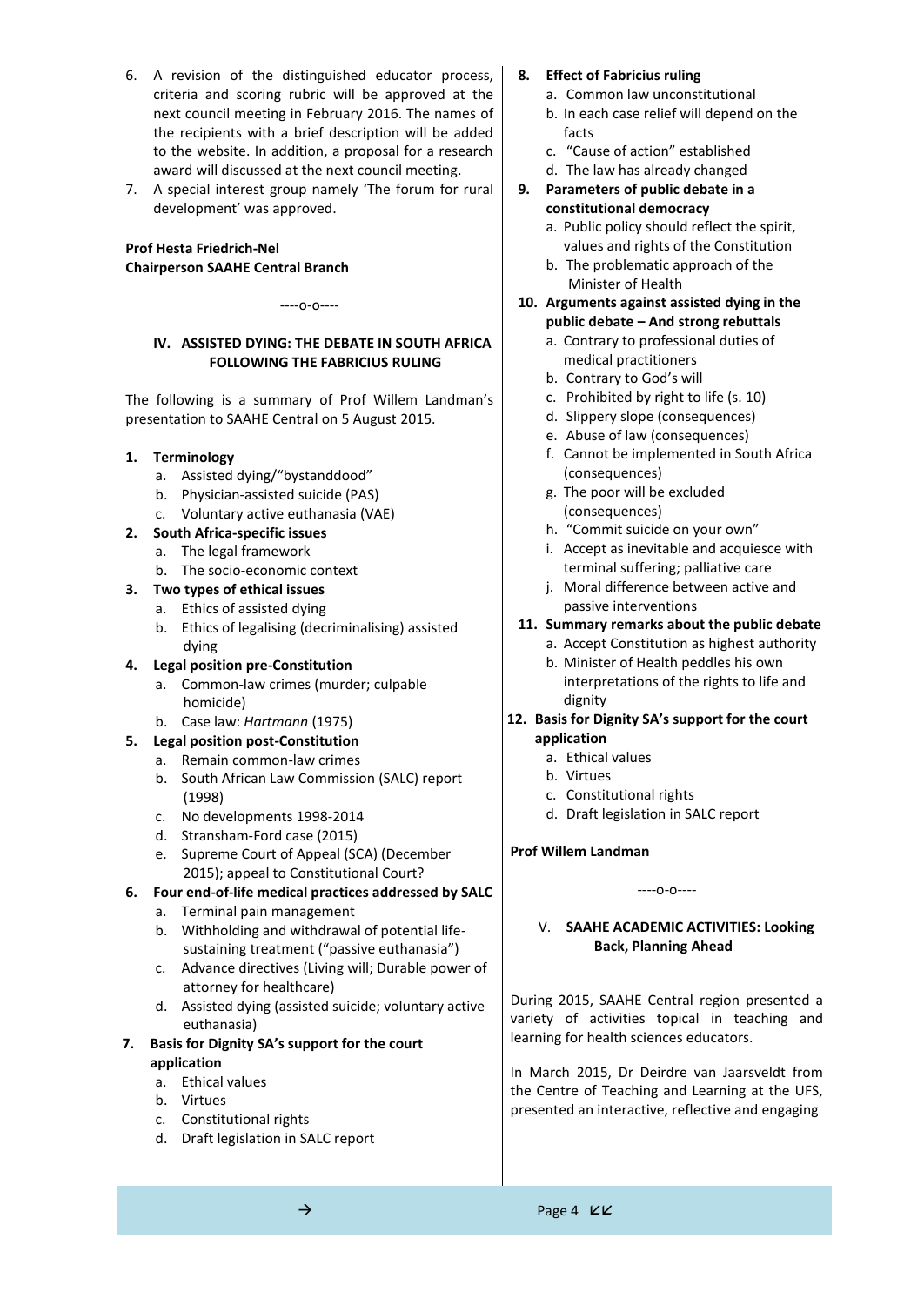- 6. A revision of the distinguished educator process, criteria and scoring rubric will be approved at the next council meeting in February 2016. The names of the recipients with a brief description will be added to the website. In addition, a proposal for a research award will discussed at the next council meeting.
- 7. A special interest group namely 'The forum for rural development' was approved.

# **Prof Hesta Friedrich-Nel Chairperson SAAHE Central Branch**

----o-o----

## **IV. ASSISTED DYING: THE DEBATE IN SOUTH AFRICA FOLLOWING THE FABRICIUS RULING**

The following is a summary of Prof Willem Landman's presentation to SAAHE Central on 5 August 2015.

## **1. Terminology**

- a. Assisted dying/"bystanddood"
- b. Physician-assisted suicide (PAS)
- c. Voluntary active euthanasia (VAE)

## **2. South Africa-specific issues**

- a. The legal framework
- b. The socio-economic context
- **3. Two types of ethical issues**
	- a. Ethics of assisted dying
	- b. Ethics of legalising (decriminalising) assisted dying

## **4. Legal position pre-Constitution**

- a. Common-law crimes (murder; culpable homicide)
- b. Case law: *Hartmann* (1975)

## **5. Legal position post-Constitution**

- a. Remain common-law crimes
- b. South African Law Commission (SALC) report (1998)
- c. No developments 1998-2014
- d. Stransham-Ford case (2015)
- e. Supreme Court of Appeal (SCA) (December 2015); appeal to Constitutional Court?

### **6. Four end-of-life medical practices addressed by SALC**

- a. Terminal pain management
- b. Withholding and withdrawal of potential lifesustaining treatment ("passive euthanasia")
- c. Advance directives (Living will; Durable power of attorney for healthcare)
- d. Assisted dying (assisted suicide; voluntary active euthanasia)

## **7. Basis for Dignity SA's support for the court application**

- a. Ethical values
- b. Virtues
- c. Constitutional rights
- d. Draft legislation in SALC report

## **8. Effect of Fabricius ruling**

- a. Common law unconstitutional
- b. In each case relief will depend on the facts
- c. "Cause of action" established
- d. The law has already changed

## **9. Parameters of public debate in a constitutional democracy**

- a. Public policy should reflect the spirit, values and rights of the Constitution
- b. The problematic approach of the Minister of Health
- **10. Arguments against assisted dying in the public debate – And strong rebuttals**
	- a. Contrary to professional duties of medical practitioners
	- b. Contrary to God's will
	- c. Prohibited by right to life (s. 10)
	- d. Slippery slope (consequences)
	- e. Abuse of law (consequences)
	- f. Cannot be implemented in South Africa (consequences)
	- g. The poor will be excluded (consequences)
	- h. "Commit suicide on your own"
	- i. Accept as inevitable and acquiesce with terminal suffering; palliative care
	- j. Moral difference between active and passive interventions

## **11. Summary remarks about the public debate**

- a. Accept Constitution as highest authority b. Minister of Health peddles his own
	- interpretations of the rights to life and dignity
- **12. Basis for Dignity SA's support for the court application**
	- a. Ethical values
	- b. Virtues
	- c. Constitutional rights
	- d. Draft legislation in SALC report

## **Prof Willem Landman**

### ----o-o----

## V. **SAAHE ACADEMIC ACTIVITIES: Looking Back, Planning Ahead**

During 2015, SAAHE Central region presented a variety of activities topical in teaching and learning for health sciences educators.

In March 2015, Dr Deirdre van Jaarsveldt from the Centre of Teaching and Learning at the UFS, presented an interactive, reflective and engaging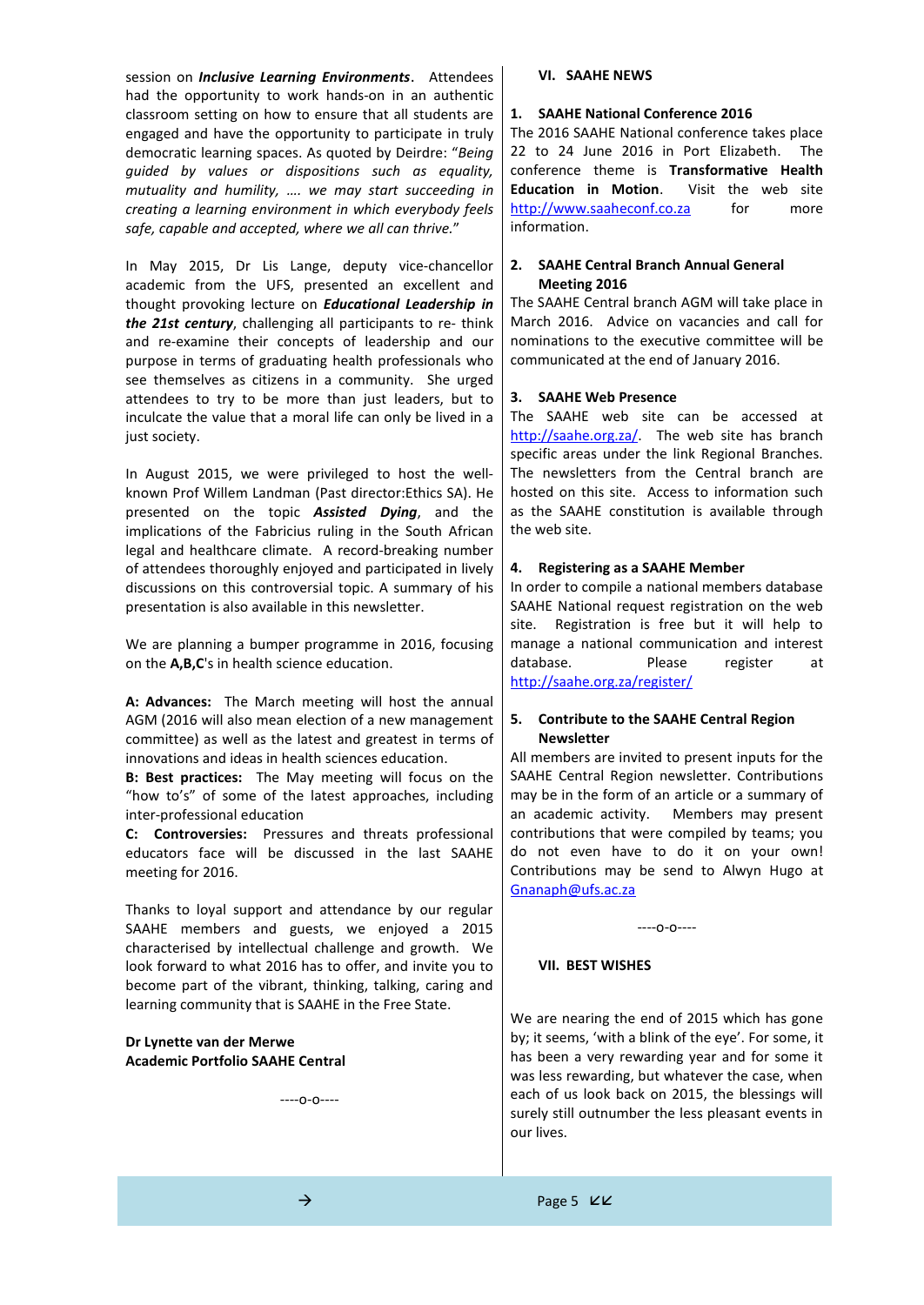session on *Inclusive Learning Environments*. Attendees had the opportunity to work hands-on in an authentic classroom setting on how to ensure that all students are engaged and have the opportunity to participate in truly democratic learning spaces. As quoted by Deirdre: "*Being guided by values or dispositions such as equality, mutuality and humility, …. we may start succeeding in creating a learning environment in which everybody feels safe, capable and accepted, where we all can thrive.*"

In May 2015, Dr Lis Lange, deputy vice-chancellor academic from the UFS, presented an excellent and thought provoking lecture on *Educational Leadership in the 21st century*, challenging all participants to re- think and re-examine their concepts of leadership and our purpose in terms of graduating health professionals who see themselves as citizens in a community. She urged attendees to try to be more than just leaders, but to inculcate the value that a moral life can only be lived in a just society.

In August 2015, we were privileged to host the wellknown Prof Willem Landman (Past director:Ethics SA). He presented on the topic *Assisted Dying*, and the implications of the Fabricius ruling in the South African legal and healthcare climate. A record-breaking number of attendees thoroughly enjoyed and participated in lively discussions on this controversial topic. A summary of his presentation is also available in this newsletter.

We are planning a bumper programme in 2016, focusing on the **A,B,C**'s in health science education.

**A: Advances:** The March meeting will host the annual AGM (2016 will also mean election of a new management committee) as well as the latest and greatest in terms of innovations and ideas in health sciences education.

**B: Best practices:** The May meeting will focus on the "how to's" of some of the latest approaches, including inter-professional education

**C: Controversies:** Pressures and threats professional educators face will be discussed in the last SAAHE meeting for 2016.

Thanks to loyal support and attendance by our regular SAAHE members and guests, we enjoyed a 2015 characterised by intellectual challenge and growth. We look forward to what 2016 has to offer, and invite you to become part of the vibrant, thinking, talking, caring and learning community that is SAAHE in the Free State.

## **Dr Lynette van der Merwe Academic Portfolio SAAHE Central**

 $---O-O---$ 

#### **VI. SAAHE NEWS**

#### **1. SAAHE National Conference 2016**

The 2016 SAAHE National conference takes place 22 to 24 June 2016 in Port Elizabeth. The conference theme is **Transformative Health Education in Motion**. Visit the web site [http://www.saaheconf.co.za](http://www.saaheconf.co.za/) for more information.

## **2. SAAHE Central Branch Annual General Meeting 2016**

The SAAHE Central branch AGM will take place in March 2016. Advice on vacancies and call for nominations to the executive committee will be communicated at the end of January 2016.

### **3. SAAHE Web Presence**

The SAAHE web site can be accessed at [http://saahe.org.za/.](http://saahe.org.za/) The web site has branch specific areas under the link Regional Branches. The newsletters from the Central branch are hosted on this site. Access to information such as the SAAHE constitution is available through the web site.

#### **4. Registering as a SAAHE Member**

In order to compile a national members database SAAHE National request registration on the web site. Registration is free but it will help to manage a national communication and interest database. Please register at <http://saahe.org.za/register/>

## **5. Contribute to the SAAHE Central Region Newsletter**

All members are invited to present inputs for the SAAHE Central Region newsletter. Contributions may be in the form of an article or a summary of an academic activity. Members may present contributions that were compiled by teams; you do not even have to do it on your own! Contributions may be send to Alwyn Hugo at [Gnanaph@ufs.ac.za](mailto:Gnanaph@ufs.ac.za)

----o-o----

#### **VII. BEST WISHES**

We are nearing the end of 2015 which has gone by; it seems, 'with a blink of the eye'. For some, it has been a very rewarding year and for some it was less rewarding, but whatever the case, when each of us look back on 2015, the blessings will surely still outnumber the less pleasant events in our lives.